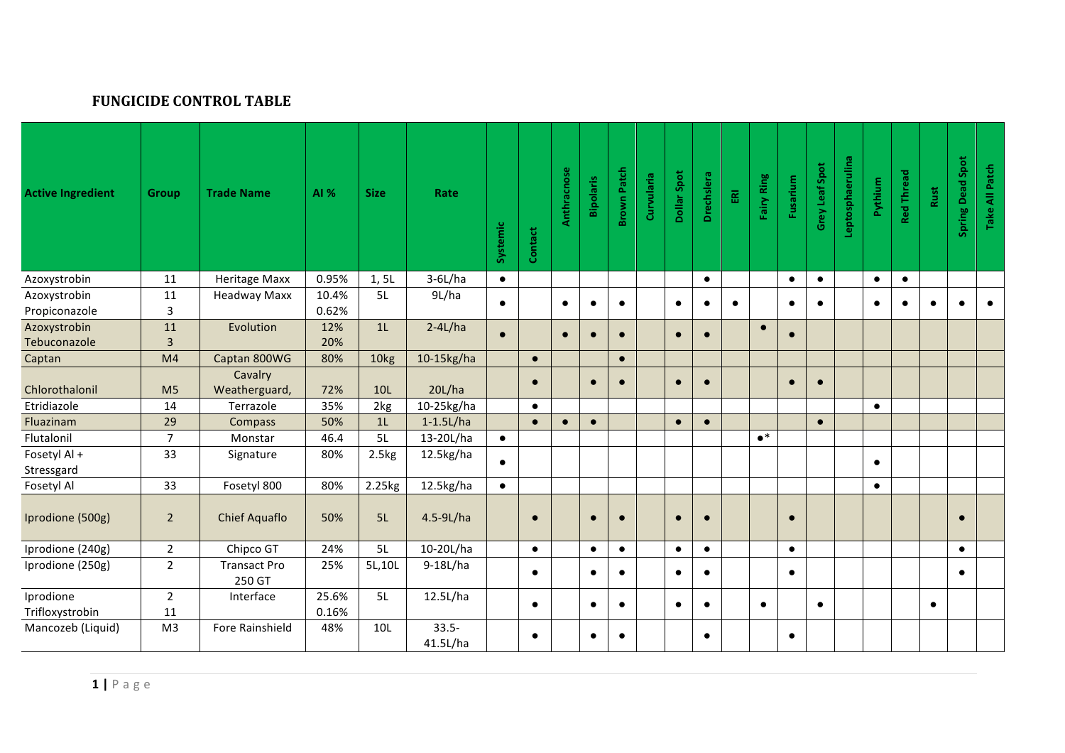## **FUNGICIDE CONTROL TABLE**

| <b>Active Ingredient</b>     | <b>Group</b>         | <b>Trade Name</b>             | AI %           | <b>Size</b>    | Rate                 | Systemic  | Contact   | Anthracnose | <b>Bipolaris</b> | <b>Brown Patch</b> | Curvularia | Dollar Spot | Drechslera | $\overline{\mathbb{E}}$ | Fairy Ring  | Fusarium  | Grey Leaf Spot | Leptosphaerulina | Pythium   | Red Thread | Rust      | Spring Dead Spot | Take All Patch |
|------------------------------|----------------------|-------------------------------|----------------|----------------|----------------------|-----------|-----------|-------------|------------------|--------------------|------------|-------------|------------|-------------------------|-------------|-----------|----------------|------------------|-----------|------------|-----------|------------------|----------------|
| Azoxystrobin                 | 11                   | <b>Heritage Maxx</b>          | 0.95%          | 1, 5L          | $3-6L/ha$            | $\bullet$ |           |             |                  |                    |            |             | $\bullet$  |                         |             | $\bullet$ | $\bullet$      |                  | $\bullet$ | $\bullet$  |           |                  |                |
| Azoxystrobin                 | 11                   | <b>Headway Maxx</b>           | 10.4%          | 5L             | 9L/ha                | $\bullet$ |           | $\bullet$   | $\bullet$        | $\bullet$          |            | $\bullet$   | $\bullet$  | $\bullet$               |             | $\bullet$ | $\bullet$      |                  | $\bullet$ | $\bullet$  | $\bullet$ | $\bullet$        | $\bullet$      |
| Propiconazole                | $\overline{3}$       |                               | 0.62%          |                |                      |           |           |             |                  |                    |            |             |            |                         |             |           |                |                  |           |            |           |                  |                |
| Azoxystrobin                 | 11                   | Evolution                     | 12%            | 1 <sub>L</sub> | $2-4L/ha$            | $\bullet$ |           | $\bullet$   | $\bullet$        | $\bullet$          |            | $\bullet$   | $\bullet$  |                         | $\bullet$   | $\bullet$ |                |                  |           |            |           |                  |                |
| Tebuconazole                 | $\overline{3}$       |                               | 20%            |                |                      |           |           |             |                  |                    |            |             |            |                         |             |           |                |                  |           |            |           |                  |                |
| Captan                       | M <sub>4</sub>       | Captan 800WG                  | 80%            | 10kg           | 10-15kg/ha           |           | $\bullet$ |             |                  | $\bullet$          |            |             |            |                         |             |           |                |                  |           |            |           |                  |                |
| Chlorothalonil               | M <sub>5</sub>       | Cavalry<br>Weatherguard,      | 72%            | 10L            | 20L/ha               |           | $\bullet$ |             | $\bullet$        | $\bullet$          |            | $\bullet$   | $\bullet$  |                         |             | $\bullet$ | $\bullet$      |                  |           |            |           |                  |                |
| Etridiazole                  | 14                   | Terrazole                     | 35%            | 2kg            | 10-25kg/ha           |           | $\bullet$ |             |                  |                    |            |             |            |                         |             |           |                |                  | $\bullet$ |            |           |                  |                |
| Fluazinam                    | 29                   | <b>Compass</b>                | 50%            | 1 <sub>L</sub> | $1-1.5$ L/ha         |           | $\bullet$ | $\bullet$   | $\bullet$        |                    |            | $\bullet$   | $\bullet$  |                         |             |           | $\bullet$      |                  |           |            |           |                  |                |
| Flutalonil                   | $\overline{7}$       | Monstar                       | 46.4           | 5L             | 13-20L/ha            | $\bullet$ |           |             |                  |                    |            |             |            |                         | $\bullet^*$ |           |                |                  |           |            |           |                  |                |
| Fosetyl Al +                 | 33                   | Signature                     | 80%            | 2.5kg          | 12.5kg/ha            | $\bullet$ |           |             |                  |                    |            |             |            |                         |             |           |                |                  | $\bullet$ |            |           |                  |                |
| Stressgard                   |                      |                               |                |                |                      |           |           |             |                  |                    |            |             |            |                         |             |           |                |                  |           |            |           |                  |                |
| Fosetyl Al                   | 33                   | Fosetyl 800                   | 80%            | 2.25kg         | 12.5kg/ha            | $\bullet$ |           |             |                  |                    |            |             |            |                         |             |           |                |                  | $\bullet$ |            |           |                  |                |
| Iprodione (500g)             | $\overline{2}$       | <b>Chief Aquaflo</b>          | 50%            | 5L             | 4.5-9L/ha            |           | $\bullet$ |             | $\bullet$        | $\bullet$          |            | $\bullet$   | $\bullet$  |                         |             | $\bullet$ |                |                  |           |            |           | $\bullet$        |                |
| Iprodione (240g)             | $\overline{2}$       | Chipco GT                     | 24%            | 5L             | 10-20L/ha            |           | $\bullet$ |             | $\bullet$        | $\bullet$          |            | $\bullet$   | $\bullet$  |                         |             | $\bullet$ |                |                  |           |            |           | $\bullet$        |                |
| Iprodione (250g)             | $\overline{2}$       | <b>Transact Pro</b><br>250 GT | 25%            | 5L,10L         | 9-18L/ha             |           | $\bullet$ |             | $\bullet$        | $\bullet$          |            | $\bullet$   | $\bullet$  |                         |             | $\bullet$ |                |                  |           |            |           | $\bullet$        |                |
| Iprodione<br>Trifloxystrobin | $\overline{2}$<br>11 | Interface                     | 25.6%<br>0.16% | 5L             | 12.5L/ha             |           | $\bullet$ |             | $\bullet$        | $\bullet$          |            | $\bullet$   | $\bullet$  |                         | $\bullet$   |           | $\bullet$      |                  |           |            | $\bullet$ |                  |                |
| Mancozeb (Liquid)            | M <sub>3</sub>       | Fore Rainshield               | 48%            | 10L            | $33.5 -$<br>41.5L/ha |           | $\bullet$ |             | $\bullet$        | $\bullet$          |            |             | $\bullet$  |                         |             | $\bullet$ |                |                  |           |            |           |                  |                |